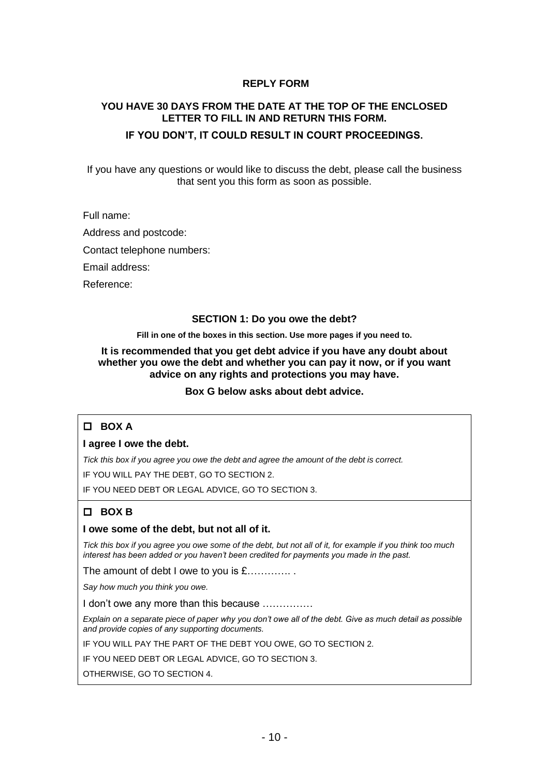## **REPLY FORM**

# **YOU HAVE 30 DAYS FROM THE DATE AT THE TOP OF THE ENCLOSED LETTER TO FILL IN AND RETURN THIS FORM.**

## **IF YOU DON'T, IT COULD RESULT IN COURT PROCEEDINGS.**

If you have any questions or would like to discuss the debt, please call the business that sent you this form as soon as possible.

Full name:

Address and postcode:

Contact telephone numbers:

Email address:

Reference:

#### **SECTION 1: Do you owe the debt?**

**Fill in one of the boxes in this section. Use more pages if you need to.**

**It is recommended that you get debt advice if you have any doubt about whether you owe the debt and whether you can pay it now, or if you want advice on any rights and protections you may have.**

**Box G below asks about debt advice.**

## **BOX A**

**I agree I owe the debt.** 

*Tick this box if you agree you owe the debt and agree the amount of the debt is correct.*

IF YOU WILL PAY THE DEBT, GO TO SECTION 2.

IF YOU NEED DEBT OR LEGAL ADVICE, GO TO SECTION 3.

# **BOX B**

#### **I owe some of the debt, but not all of it.**

*Tick this box if you agree you owe some of the debt, but not all of it, for example if you think too much interest has been added or you haven't been credited for payments you made in the past.*

The amount of debt I owe to you is £..............

*Say how much you think you owe.*

I don't owe any more than this because ……………

*Explain on a separate piece of paper why you don't owe all of the debt. Give as much detail as possible and provide copies of any supporting documents.* 

IF YOU WILL PAY THE PART OF THE DEBT YOU OWE, GO TO SECTION 2.

IF YOU NEED DEBT OR LEGAL ADVICE, GO TO SECTION 3.

OTHERWISE, GO TO SECTION 4.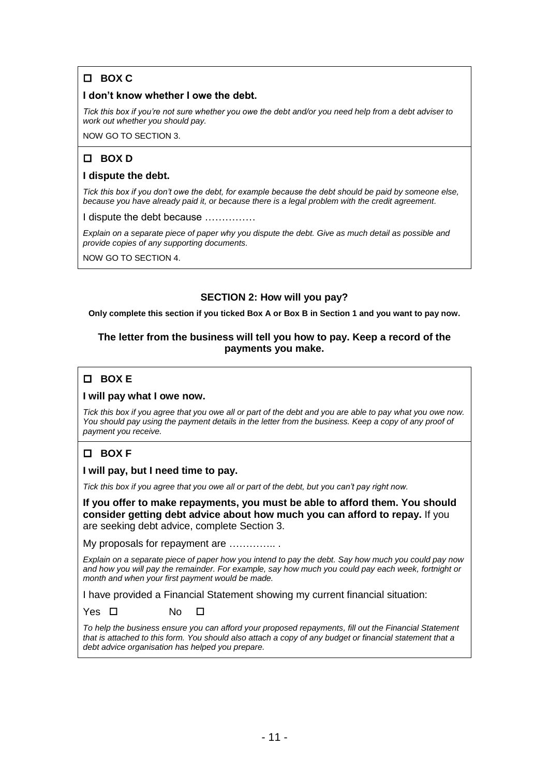# **BOX C**

## **I don't know whether I owe the debt.**

*Tick this box if you're not sure whether you owe the debt and/or you need help from a debt adviser to work out whether you should pay.*

NOW GO TO SECTION 3.

# **BOX D**

#### **I dispute the debt.**

*Tick this box if you don't owe the debt, for example because the debt should be paid by someone else, because you have already paid it, or because there is a legal problem with the credit agreement.* 

I dispute the debt because ……………

*Explain on a separate piece of paper why you dispute the debt. Give as much detail as possible and provide copies of any supporting documents.* 

NOW GO TO SECTION 4.

## **SECTION 2: How will you pay?**

**Only complete this section if you ticked Box A or Box B in Section 1 and you want to pay now.** 

## **The letter from the business will tell you how to pay. Keep a record of the payments you make.**

# **BOX E**

## **I will pay what I owe now.**

*Tick this box if you agree that you owe all or part of the debt and you are able to pay what you owe now.* You should pay using the payment details in the letter from the business. Keep a copy of any proof of *payment you receive.*

# **BOX F**

**I will pay, but I need time to pay.**

*Tick this box if you agree that you owe all or part of the debt, but you can't pay right now.*

**If you offer to make repayments, you must be able to afford them. You should consider getting debt advice about how much you can afford to repay.** If you are seeking debt advice, complete Section 3.

My proposals for repayment are ………….. .

*Explain on a separate piece of paper how you intend to pay the debt. Say how much you could pay now and how you will pay the remainder. For example, say how much you could pay each week, fortnight or month and when your first payment would be made.*

I have provided a Financial Statement showing my current financial situation:

Yes □ No □

*To help the business ensure you can afford your proposed repayments, fill out the Financial Statement that is attached to this form. You should also attach a copy of any budget or financial statement that a debt advice organisation has helped you prepare.*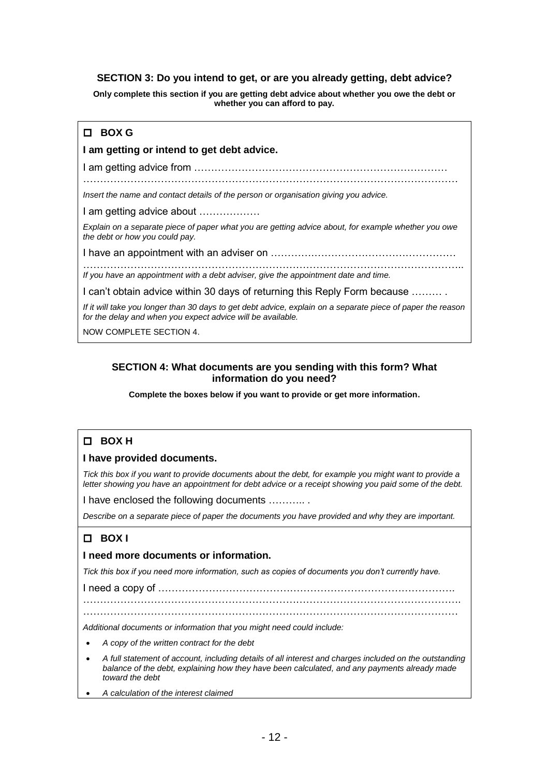## **SECTION 3: Do you intend to get, or are you already getting, debt advice?**

**Only complete this section if you are getting debt advice about whether you owe the debt or whether you can afford to pay.** 

# **BOX G**

#### **I am getting or intend to get debt advice.**

I am getting advice from …………………………………………………………………

…………………………………………………………………………………………………

*Insert the name and contact details of the person or organisation giving you advice.* 

I am getting advice about ………………

*Explain on a separate piece of paper what you are getting advice about, for example whether you owe the debt or how you could pay.*

I have an appointment with an adviser on ………….……………………………………

………………………………………………………………………………………………….. *If you have an appointment with a debt adviser, give the appointment date and time.*

I can't obtain advice within 30 days of returning this Reply Form because ……… .

*If it will take you longer than 30 days to get debt advice, explain on a separate piece of paper the reason for the delay and when you expect advice will be available.* 

NOW COMPLETE SECTION 4.

## **SECTION 4: What documents are you sending with this form? What information do you need?**

**Complete the boxes below if you want to provide or get more information.** 

## **BOX H**

#### **I have provided documents.**

*Tick this box if you want to provide documents about the debt, for example you might want to provide a letter showing you have an appointment for debt advice or a receipt showing you paid some of the debt.*

I have enclosed the following documents ……….. .

*Describe on a separate piece of paper the documents you have provided and why they are important.*

# **BOX I**

#### **I need more documents or information.**

*Tick this box if you need more information, such as copies of documents you don't currently have.* 

I need a copy of …………………………………………………………………………….

………………………………………………………………………………………………….

………………………………………………………………………………………………… *Additional documents or information that you might need could include:*

- *A copy of the written contract for the debt*
- *A full statement of account, including details of all interest and charges included on the outstanding balance of the debt, explaining how they have been calculated, and any payments already made toward the debt*
- *A calculation of the interest claimed*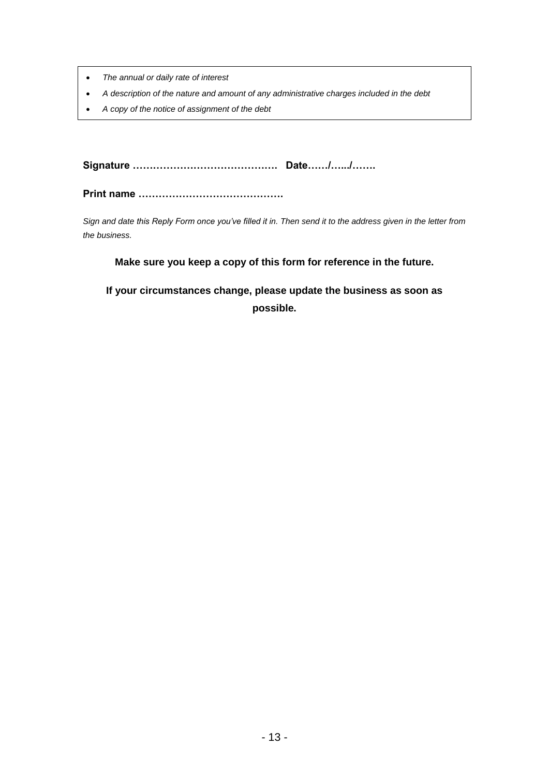- *The annual or daily rate of interest*
- *A description of the nature and amount of any administrative charges included in the debt*
- *A copy of the notice of assignment of the debt*

**Signature ……………………………………. Date……/….../…….**

**Print name …………………………………….**

*Sign and date this Reply Form once you've filled it in. Then send it to the address given in the letter from the business.*

## **Make sure you keep a copy of this form for reference in the future.**

**If your circumstances change, please update the business as soon as possible.**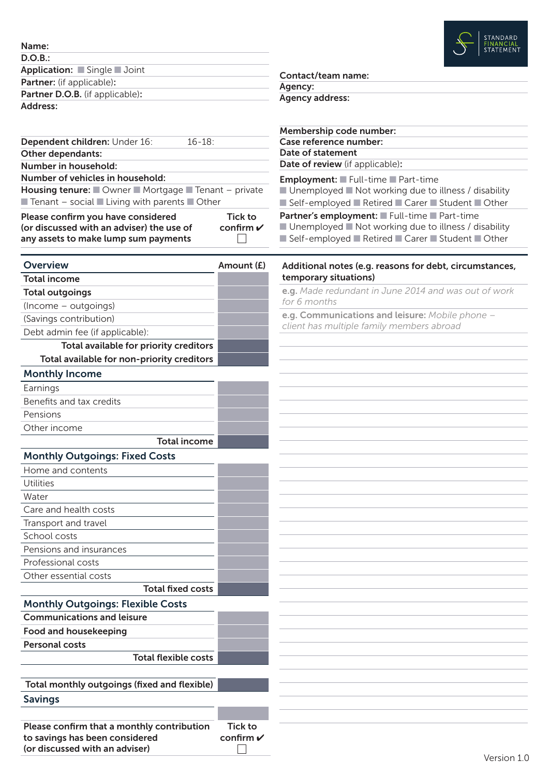| Name:                            |
|----------------------------------|
| D.O.B.:                          |
| Application: Single Joint        |
| <b>Partner:</b> (if applicable): |
| Partner D.O.B. (if applicable):  |
| Address:                         |

|                                                                                           |                            | Membership code number:                                                                             |  |  |  |  |                                  |
|-------------------------------------------------------------------------------------------|----------------------------|-----------------------------------------------------------------------------------------------------|--|--|--|--|----------------------------------|
| $16 - 18$ :<br>Dependent children: Under 16:<br>Other dependants:<br>Number in household: |                            | Case reference number:                                                                              |  |  |  |  |                                  |
|                                                                                           |                            | Date of statement<br>Date of review (if applicable):                                                |  |  |  |  |                                  |
|                                                                                           |                            |                                                                                                     |  |  |  |  | Number of vehicles in household: |
| Housing tenure: Owner Mortgage Tenant - private                                           |                            | ■ Unemployed ■ Not working due to illness / disability                                              |  |  |  |  |                                  |
| $\blacksquare$ Tenant - social $\blacksquare$ Living with parents $\blacksquare$ Other    |                            | ■ Self-employed ■ Retired ■ Carer ■ Student ■ Other                                                 |  |  |  |  |                                  |
| Please confirm you have considered                                                        | <b>Tick to</b>             | Partner's employment: Full-time Part-time<br>■ Unemployed ■ Not working due to illness / disability |  |  |  |  |                                  |
| (or discussed with an adviser) the use of<br>any assets to make lump sum payments         | confirm $\boldsymbol{\nu}$ | ■ Self-employed ■ Retired ■ Carer ■ Student ■ Other                                                 |  |  |  |  |                                  |
|                                                                                           |                            |                                                                                                     |  |  |  |  |                                  |
| <b>Overview</b>                                                                           | Amount (£)                 | Additional notes (e.g. reasons for debt, circumstances,                                             |  |  |  |  |                                  |
| <b>Total income</b>                                                                       |                            | temporary situations)                                                                               |  |  |  |  |                                  |
| <b>Total outgoings</b>                                                                    |                            | e.g. Made redundant in June 2014 and was out of work                                                |  |  |  |  |                                  |
| (Income - outgoings)                                                                      |                            | for 6 months                                                                                        |  |  |  |  |                                  |
| (Savings contribution)                                                                    |                            | e.g. Communications and leisure: Mobile phone -                                                     |  |  |  |  |                                  |
| Debt admin fee (if applicable):                                                           |                            | client has multiple family members abroad                                                           |  |  |  |  |                                  |
| Total available for priority creditors                                                    |                            |                                                                                                     |  |  |  |  |                                  |
| Total available for non-priority creditors                                                |                            |                                                                                                     |  |  |  |  |                                  |
| <b>Monthly Income</b>                                                                     |                            |                                                                                                     |  |  |  |  |                                  |
| Earnings                                                                                  |                            |                                                                                                     |  |  |  |  |                                  |
| Benefits and tax credits                                                                  |                            |                                                                                                     |  |  |  |  |                                  |
| Pensions                                                                                  |                            |                                                                                                     |  |  |  |  |                                  |
| Other income                                                                              |                            |                                                                                                     |  |  |  |  |                                  |
| <b>Total income</b>                                                                       |                            |                                                                                                     |  |  |  |  |                                  |
| <b>Monthly Outgoings: Fixed Costs</b>                                                     |                            |                                                                                                     |  |  |  |  |                                  |
| Home and contents                                                                         |                            |                                                                                                     |  |  |  |  |                                  |
| Utilities                                                                                 |                            |                                                                                                     |  |  |  |  |                                  |
| Water                                                                                     |                            |                                                                                                     |  |  |  |  |                                  |
| Care and health costs                                                                     |                            |                                                                                                     |  |  |  |  |                                  |
| Transport and travel                                                                      |                            |                                                                                                     |  |  |  |  |                                  |
| School costs                                                                              |                            |                                                                                                     |  |  |  |  |                                  |
| Pensions and insurances                                                                   |                            |                                                                                                     |  |  |  |  |                                  |
| Professional costs                                                                        |                            |                                                                                                     |  |  |  |  |                                  |
| Other essential costs                                                                     |                            |                                                                                                     |  |  |  |  |                                  |
| <b>Total fixed costs</b>                                                                  |                            |                                                                                                     |  |  |  |  |                                  |
| <b>Monthly Outgoings: Flexible Costs</b>                                                  |                            |                                                                                                     |  |  |  |  |                                  |
| <b>Communications and leisure</b>                                                         |                            |                                                                                                     |  |  |  |  |                                  |
| <b>Food and housekeeping</b>                                                              |                            |                                                                                                     |  |  |  |  |                                  |
| <b>Personal costs</b>                                                                     |                            |                                                                                                     |  |  |  |  |                                  |
| <b>Total flexible costs</b>                                                               |                            |                                                                                                     |  |  |  |  |                                  |
|                                                                                           |                            |                                                                                                     |  |  |  |  |                                  |
| Total monthly outgoings (fixed and flexible)                                              |                            |                                                                                                     |  |  |  |  |                                  |
| <b>Savings</b>                                                                            |                            |                                                                                                     |  |  |  |  |                                  |
|                                                                                           |                            |                                                                                                     |  |  |  |  |                                  |
| Please confirm that a monthly contribution                                                | <b>Tick to</b>             |                                                                                                     |  |  |  |  |                                  |
| to savings has been considered                                                            | confirm $\checkmark$       |                                                                                                     |  |  |  |  |                                  |
| (or discussed with an adviser)                                                            |                            |                                                                                                     |  |  |  |  |                                  |

Contact/team name:

Agency address:

Agency: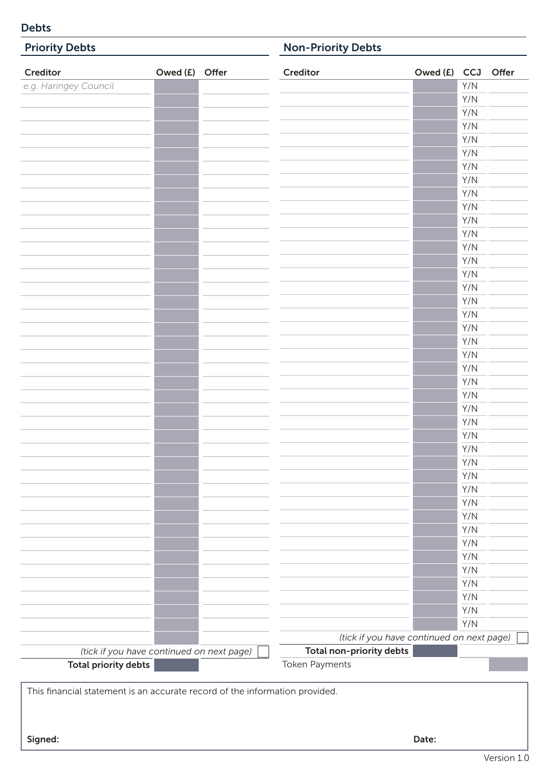# Debts

| <b>Priority Debts</b>       |                                           |  | <b>Non-Priority Debts</b> |                                           |            |  |  |
|-----------------------------|-------------------------------------------|--|---------------------------|-------------------------------------------|------------|--|--|
| Creditor                    | Owed (£) Offer                            |  | Creditor                  | Owed (£) CCJ Offer                        |            |  |  |
| e.g. Haringey Council       |                                           |  |                           |                                           | Y/N        |  |  |
|                             |                                           |  |                           |                                           | Y/N        |  |  |
|                             |                                           |  |                           |                                           | Y/N        |  |  |
|                             |                                           |  |                           |                                           | Y/N        |  |  |
|                             |                                           |  |                           |                                           | Y/N        |  |  |
|                             |                                           |  |                           |                                           | Y/N        |  |  |
|                             |                                           |  |                           |                                           | Y/N        |  |  |
|                             |                                           |  |                           |                                           | Y/N        |  |  |
|                             |                                           |  |                           |                                           | Y/N        |  |  |
|                             |                                           |  |                           |                                           | Y/N        |  |  |
|                             |                                           |  |                           |                                           | Y/N        |  |  |
|                             |                                           |  |                           |                                           | Y/N        |  |  |
|                             |                                           |  |                           |                                           | Y/N        |  |  |
|                             |                                           |  |                           |                                           | Y/N        |  |  |
|                             |                                           |  |                           |                                           | Y/N        |  |  |
|                             |                                           |  |                           |                                           | Y/N        |  |  |
|                             |                                           |  |                           |                                           | Y/N        |  |  |
|                             |                                           |  |                           |                                           | Y/N        |  |  |
|                             |                                           |  |                           |                                           | Y/N        |  |  |
|                             |                                           |  |                           |                                           | Y/N        |  |  |
|                             |                                           |  |                           |                                           | Y/N        |  |  |
|                             |                                           |  |                           |                                           | Y/N        |  |  |
|                             |                                           |  |                           |                                           | Y/N<br>Y/N |  |  |
|                             |                                           |  |                           |                                           | Y/N        |  |  |
|                             |                                           |  |                           |                                           | Y/N        |  |  |
|                             |                                           |  |                           |                                           | Y/N        |  |  |
|                             |                                           |  |                           |                                           | Y/N        |  |  |
|                             |                                           |  |                           |                                           | Y/N        |  |  |
|                             |                                           |  |                           |                                           | Y/N        |  |  |
|                             |                                           |  |                           |                                           | Y/N        |  |  |
|                             |                                           |  |                           |                                           | Y/N        |  |  |
|                             |                                           |  |                           |                                           | Y/N        |  |  |
|                             |                                           |  |                           |                                           | Y/N        |  |  |
|                             |                                           |  |                           |                                           | Y/N        |  |  |
|                             |                                           |  |                           |                                           | Y/N        |  |  |
|                             |                                           |  |                           |                                           | Y/N        |  |  |
|                             |                                           |  |                           |                                           | Y/N        |  |  |
|                             |                                           |  |                           |                                           | Y/N        |  |  |
|                             |                                           |  |                           |                                           | Y/N        |  |  |
|                             |                                           |  |                           |                                           | Y/N        |  |  |
|                             |                                           |  |                           | (tick if you have continued on next page) |            |  |  |
|                             | (tick if you have continued on next page) |  | Total non-priority debts  |                                           |            |  |  |
| <b>Total priority debts</b> |                                           |  | Token Payments            |                                           |            |  |  |

This financial statement is an accurate record of the information provided.

Signed: Date: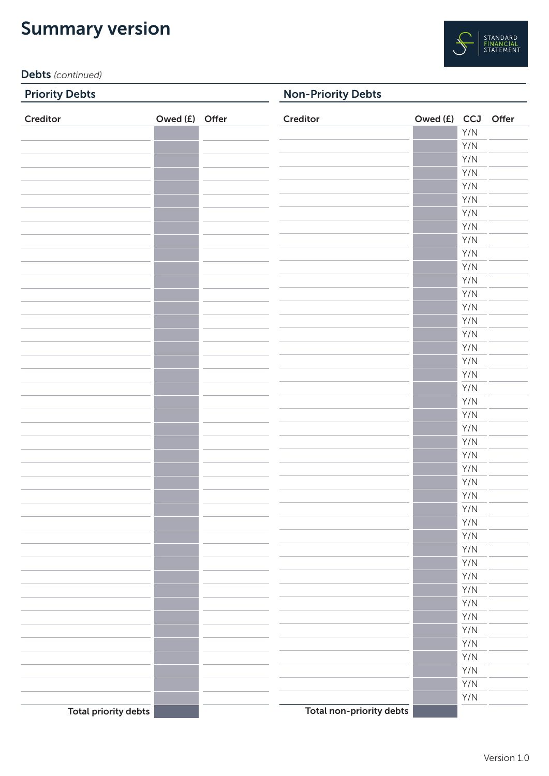# Summary version



Debts *(continued)*

# Priority Debts

Non-Priority Debts

| Creditor                    | Owed (£) Offer | Creditor                 | Owed (£) CCJ Offer |                         |  |
|-----------------------------|----------------|--------------------------|--------------------|-------------------------|--|
|                             |                |                          |                    | Y/N                     |  |
|                             |                |                          |                    | Y/N                     |  |
|                             |                |                          |                    | Y/N                     |  |
|                             |                |                          |                    | Y/N                     |  |
|                             |                |                          |                    | Y/N                     |  |
|                             |                |                          |                    | Y/N                     |  |
|                             |                |                          |                    | Y/N                     |  |
|                             |                |                          |                    | Y/N                     |  |
|                             |                |                          |                    | Y/N                     |  |
|                             |                |                          |                    | Y/N                     |  |
|                             |                |                          |                    | Y/N                     |  |
|                             |                |                          |                    | Y/N                     |  |
|                             |                |                          |                    | Y/N                     |  |
|                             |                |                          |                    | Y/N                     |  |
|                             |                |                          |                    | Y/N                     |  |
|                             |                |                          |                    | Y/N                     |  |
|                             |                |                          |                    | Y/N                     |  |
|                             |                |                          |                    | Y/N                     |  |
|                             |                |                          |                    | Y/N                     |  |
|                             |                |                          |                    | Y/N                     |  |
|                             |                |                          |                    | Y/N                     |  |
|                             |                |                          |                    | Y/N                     |  |
|                             |                |                          |                    | Y/N                     |  |
|                             |                |                          |                    | Y/N                     |  |
|                             |                |                          |                    | Y/N                     |  |
|                             |                |                          |                    | Y/N                     |  |
|                             |                |                          |                    | Y/N                     |  |
|                             |                |                          |                    | Y/N                     |  |
|                             |                |                          |                    | Y/N                     |  |
|                             |                |                          |                    | Y/N                     |  |
|                             |                |                          |                    | Y/N                     |  |
|                             |                |                          |                    | Y/N                     |  |
|                             |                |                          |                    | Y/N                     |  |
|                             |                |                          |                    | Y/N                     |  |
|                             |                |                          |                    |                         |  |
|                             |                |                          |                    | Y/N                     |  |
|                             |                |                          |                    | $\mathsf{Y}/\mathsf{N}$ |  |
|                             |                |                          |                    | Y/N                     |  |
|                             |                |                          |                    | Y/N                     |  |
|                             |                |                          |                    | Y/N                     |  |
|                             |                |                          |                    | Y/N                     |  |
|                             |                |                          |                    | Y/N                     |  |
|                             |                |                          |                    | Y/N                     |  |
|                             |                |                          |                    | Y/N                     |  |
| <b>Total priority debts</b> |                | Total non-priority debts |                    |                         |  |